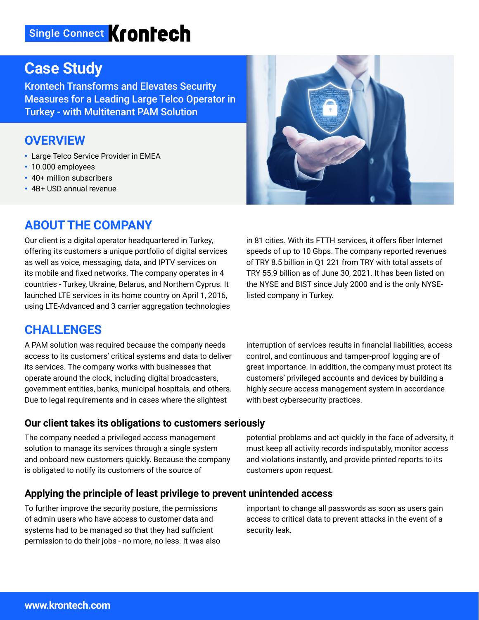# Single Connect Krontech

# **Case Study**

Krontech Transforms and Elevates Security Measures for a Leading Large Telco Operator in Turkey - with Multitenant PAM Solution

### **OVERVIEW**

- Large Telco Service Provider in EMEA
- 10.000 employees
- 40+ million subscribers
- 4B+ USD annual revenue

# **ABOUT THE COMPANY**

Our client is a digital operator headquartered in Turkey, offering its customers a unique portfolio of digital services as well as voice, messaging, data, and IPTV services on its mobile and fixed networks. The company operates in 4 countries - Turkey, Ukraine, Belarus, and Northern Cyprus. It launched LTE services in its home country on April 1, 2016, using LTE-Advanced and 3 carrier aggregation technologies



in 81 cities. With its FTTH services, it offers fiber Internet speeds of up to 10 Gbps. The company reported revenues of TRY 8.5 billion in Q1 221 from TRY with total assets of TRY 55.9 billion as of June 30, 2021. It has been listed on the NYSE and BIST since July 2000 and is the only NYSElisted company in Turkey.

### **CHALLENGES**

A PAM solution was required because the company needs access to its customers' critical systems and data to deliver its services. The company works with businesses that operate around the clock, including digital broadcasters, government entities, banks, municipal hospitals, and others. Due to legal requirements and in cases where the slightest

**Our client takes its obligations to customers seriously**

The company needed a privileged access management solution to manage its services through a single system and onboard new customers quickly. Because the company is obligated to notify its customers of the source of

interruption of services results in financial liabilities, access control, and continuous and tamper-proof logging are of great importance. In addition, the company must protect its customers' privileged accounts and devices by building a highly secure access management system in accordance with best cybersecurity practices.

potential problems and act quickly in the face of adversity, it must keep all activity records indisputably, monitor access and violations instantly, and provide printed reports to its customers upon request.

#### **Applying the principle of least privilege to prevent unintended access**

To further improve the security posture, the permissions of admin users who have access to customer data and systems had to be managed so that they had sufficient permission to do their jobs - no more, no less. It was also important to change all passwords as soon as users gain access to critical data to prevent attacks in the event of a security leak.